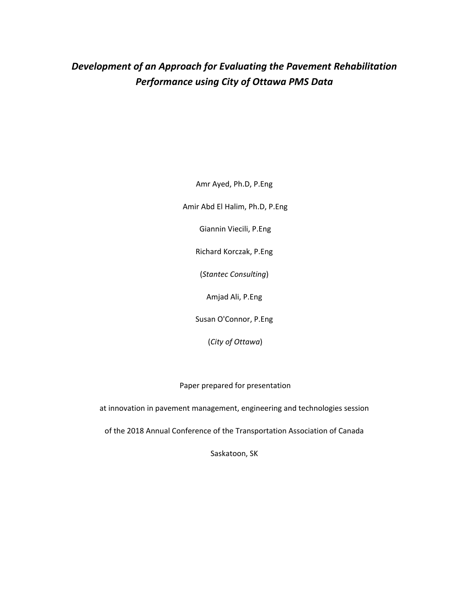# *Development of an Approach for Evaluating the Pavement Rehabilitation Performance using City of Ottawa PMS Data*

Amr Ayed, Ph.D, P.Eng

Amir Abd El Halim, Ph.D, P.Eng

Giannin Viecili, P.Eng

Richard Korczak, P.Eng

(*Stantec Consulting*)

Amjad Ali, P.Eng

Susan O'Connor, P.Eng

(*City of Ottawa*)

Paper prepared for presentation

at innovation in pavement management, engineering and technologies session

of the 2018 Annual Conference of the Transportation Association of Canada

Saskatoon, SK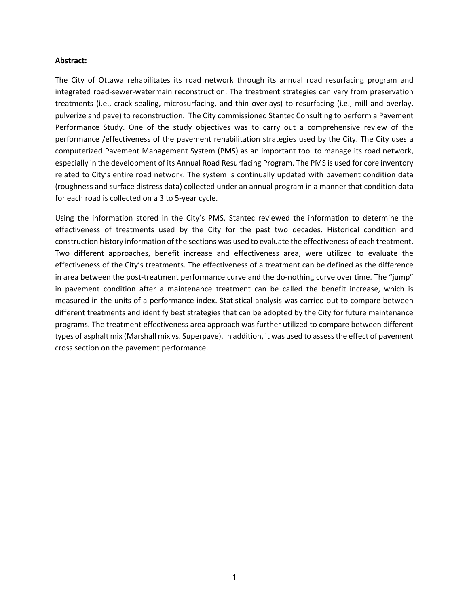### **Abstract:**

The City of Ottawa rehabilitates its road network through its annual road resurfacing program and integrated road-sewer-watermain reconstruction. The treatment strategies can vary from preservation treatments (i.e., crack sealing, microsurfacing, and thin overlays) to resurfacing (i.e., mill and overlay, pulverize and pave) to reconstruction. The City commissioned Stantec Consulting to perform a Pavement Performance Study. One of the study objectives was to carry out a comprehensive review of the performance /effectiveness of the pavement rehabilitation strategies used by the City. The City uses a computerized Pavement Management System (PMS) as an important tool to manage its road network, especially in the development of its Annual Road Resurfacing Program. The PMS is used for core inventory related to City's entire road network. The system is continually updated with pavement condition data (roughness and surface distress data) collected under an annual program in a manner that condition data for each road is collected on a 3 to 5-year cycle.

Using the information stored in the City's PMS, Stantec reviewed the information to determine the effectiveness of treatments used by the City for the past two decades. Historical condition and construction history information of the sections was used to evaluate the effectiveness of each treatment. Two different approaches, benefit increase and effectiveness area, were utilized to evaluate the effectiveness of the City's treatments. The effectiveness of a treatment can be defined as the difference in area between the post-treatment performance curve and the do-nothing curve over time. The "jump" in pavement condition after a maintenance treatment can be called the benefit increase, which is measured in the units of a performance index. Statistical analysis was carried out to compare between different treatments and identify best strategies that can be adopted by the City for future maintenance programs. The treatment effectiveness area approach was further utilized to compare between different types of asphalt mix (Marshall mix vs. Superpave). In addition, it was used to assess the effect of pavement cross section on the pavement performance.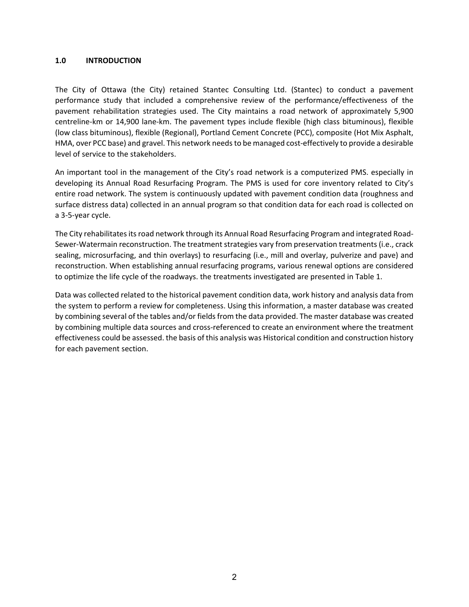### **1.0 INTRODUCTION**

The City of Ottawa (the City) retained Stantec Consulting Ltd. (Stantec) to conduct a pavement performance study that included a comprehensive review of the performance/effectiveness of the pavement rehabilitation strategies used. The City maintains a road network of approximately 5,900 centreline-km or 14,900 lane-km. The pavement types include flexible (high class bituminous), flexible (low class bituminous), flexible (Regional), Portland Cement Concrete (PCC), composite (Hot Mix Asphalt, HMA, over PCC base) and gravel. This network needs to be managed cost-effectively to provide a desirable level of service to the stakeholders.

An important tool in the management of the City's road network is a computerized PMS. especially in developing its Annual Road Resurfacing Program. The PMS is used for core inventory related to City's entire road network. The system is continuously updated with pavement condition data (roughness and surface distress data) collected in an annual program so that condition data for each road is collected on a 3-5-year cycle.

The City rehabilitates its road network through its Annual Road Resurfacing Program and integrated Road-Sewer-Watermain reconstruction. The treatment strategies vary from preservation treatments (i.e., crack sealing, microsurfacing, and thin overlays) to resurfacing (i.e., mill and overlay, pulverize and pave) and reconstruction. When establishing annual resurfacing programs, various renewal options are considered to optimize the life cycle of the roadways. the treatments investigated are presented in Table 1.

Data was collected related to the historical pavement condition data, work history and analysis data from the system to perform a review for completeness. Using this information, a master database was created by combining several of the tables and/or fields from the data provided. The master database was created by combining multiple data sources and cross-referenced to create an environment where the treatment effectiveness could be assessed. the basis of this analysis was Historical condition and construction history for each pavement section.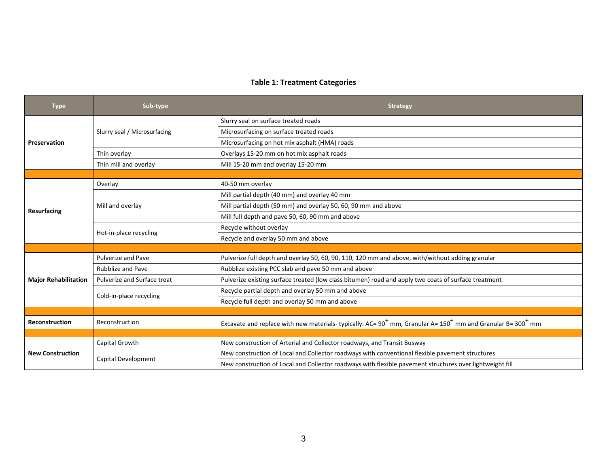# **Table 1: Treatment Categories**

| <b>Type</b>                 | Sub-type                     | <b>Strategy</b>                                                                                                     |  |  |  |  |  |
|-----------------------------|------------------------------|---------------------------------------------------------------------------------------------------------------------|--|--|--|--|--|
|                             |                              | Slurry seal on surface treated roads                                                                                |  |  |  |  |  |
|                             | Slurry seal / Microsurfacing | Microsurfacing on surface treated roads                                                                             |  |  |  |  |  |
| Preservation                |                              | Microsurfacing on hot mix asphalt (HMA) roads                                                                       |  |  |  |  |  |
|                             | Thin overlay                 | Overlays 15-20 mm on hot mix asphalt roads                                                                          |  |  |  |  |  |
|                             | Thin mill and overlay        | Mill 15-20 mm and overlay 15-20 mm                                                                                  |  |  |  |  |  |
|                             |                              |                                                                                                                     |  |  |  |  |  |
|                             | Overlay                      | 40-50 mm overlay                                                                                                    |  |  |  |  |  |
|                             |                              | Mill partial depth (40 mm) and overlay 40 mm                                                                        |  |  |  |  |  |
|                             | Mill and overlay             | Mill partial depth (50 mm) and overlay 50, 60, 90 mm and above                                                      |  |  |  |  |  |
| <b>Resurfacing</b>          |                              | Mill full depth and pave 50, 60, 90 mm and above                                                                    |  |  |  |  |  |
|                             |                              | Recycle without overlay                                                                                             |  |  |  |  |  |
|                             | Hot-in-place recycling       | Recycle and overlay 50 mm and above                                                                                 |  |  |  |  |  |
|                             |                              |                                                                                                                     |  |  |  |  |  |
|                             | <b>Pulverize and Pave</b>    | Pulverize full depth and overlay 50, 60, 90, 110, 120 mm and above, with/without adding granular                    |  |  |  |  |  |
|                             | <b>Rubblize and Pave</b>     | Rubblize existing PCC slab and pave 50 mm and above                                                                 |  |  |  |  |  |
| <b>Major Rehabilitation</b> | Pulverize and Surface treat  | Pulverize existing surface treated (low class bitumen) road and apply two coats of surface treatment                |  |  |  |  |  |
|                             | Cold-in-place recycling      | Recycle partial depth and overlay 50 mm and above                                                                   |  |  |  |  |  |
|                             |                              | Recycle full depth and overlay 50 mm and above                                                                      |  |  |  |  |  |
|                             |                              |                                                                                                                     |  |  |  |  |  |
| <b>Reconstruction</b>       | Reconstruction               | Excavate and replace with new materials-typically: AC= $90^+$ mm, Granular A= $150^+$ mm and Granular B= $300^+$ mm |  |  |  |  |  |
|                             |                              |                                                                                                                     |  |  |  |  |  |
|                             | Capital Growth               | New construction of Arterial and Collector roadways, and Transit Busway                                             |  |  |  |  |  |
| <b>New Construction</b>     | Capital Development          | New construction of Local and Collector roadways with conventional flexible pavement structures                     |  |  |  |  |  |
|                             |                              | New construction of Local and Collector roadways with flexible pavement structures over lightweight fill            |  |  |  |  |  |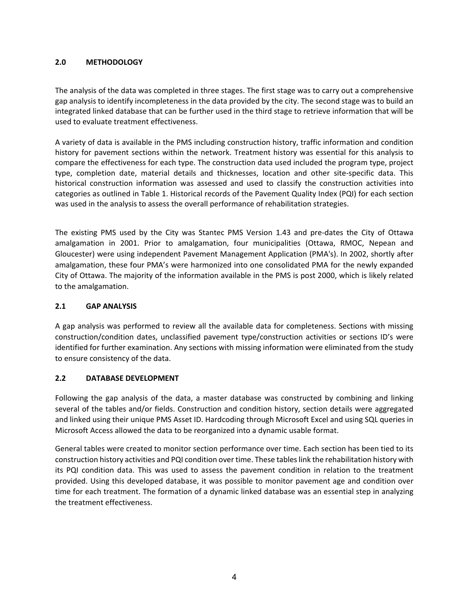### **2.0 METHODOLOGY**

The analysis of the data was completed in three stages. The first stage was to carry out a comprehensive gap analysis to identify incompleteness in the data provided by the city. The second stage was to build an integrated linked database that can be further used in the third stage to retrieve information that will be used to evaluate treatment effectiveness.

A variety of data is available in the PMS including construction history, traffic information and condition history for pavement sections within the network. Treatment history was essential for this analysis to compare the effectiveness for each type. The construction data used included the program type, project type, completion date, material details and thicknesses, location and other site-specific data. This historical construction information was assessed and used to classify the construction activities into categories as outlined in Table 1. Historical records of the Pavement Quality Index (PQI) for each section was used in the analysis to assess the overall performance of rehabilitation strategies.

The existing PMS used by the City was Stantec PMS Version 1.43 and pre-dates the City of Ottawa amalgamation in 2001. Prior to amalgamation, four municipalities (Ottawa, RMOC, Nepean and Gloucester) were using independent Pavement Management Application (PMA's). In 2002, shortly after amalgamation, these four PMA's were harmonized into one consolidated PMA for the newly expanded City of Ottawa. The majority of the information available in the PMS is post 2000, which is likely related to the amalgamation.

### **2.1 GAP ANALYSIS**

A gap analysis was performed to review all the available data for completeness. Sections with missing construction/condition dates, unclassified pavement type/construction activities or sections ID's were identified for further examination. Any sections with missing information were eliminated from the study to ensure consistency of the data.

# **2.2 DATABASE DEVELOPMENT**

Following the gap analysis of the data, a master database was constructed by combining and linking several of the tables and/or fields. Construction and condition history, section details were aggregated and linked using their unique PMS Asset ID. Hardcoding through Microsoft Excel and using SQL queries in Microsoft Access allowed the data to be reorganized into a dynamic usable format.

General tables were created to monitor section performance over time. Each section has been tied to its construction history activities and PQI condition over time. These tables link the rehabilitation history with its PQI condition data. This was used to assess the pavement condition in relation to the treatment provided. Using this developed database, it was possible to monitor pavement age and condition over time for each treatment. The formation of a dynamic linked database was an essential step in analyzing the treatment effectiveness.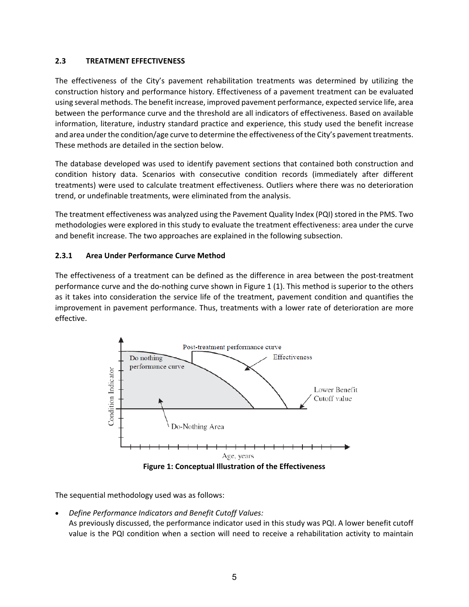### **2.3 TREATMENT EFFECTIVENESS**

The effectiveness of the City's pavement rehabilitation treatments was determined by utilizing the construction history and performance history. Effectiveness of a pavement treatment can be evaluated using several methods. The benefit increase, improved pavement performance, expected service life, area between the performance curve and the threshold are all indicators of effectiveness. Based on available information, literature, industry standard practice and experience, this study used the benefit increase and area under the condition/age curve to determine the effectiveness of the City's pavement treatments. These methods are detailed in the section below.

The database developed was used to identify pavement sections that contained both construction and condition history data. Scenarios with consecutive condition records (immediately after different treatments) were used to calculate treatment effectiveness. Outliers where there was no deterioration trend, or undefinable treatments, were eliminated from the analysis.

The treatment effectiveness was analyzed using the Pavement Quality Index (PQI) stored in the PMS. Two methodologies were explored in this study to evaluate the treatment effectiveness: area under the curve and benefit increase. The two approaches are explained in the following subsection.

# **2.3.1 Area Under Performance Curve Method**

The effectiveness of a treatment can be defined as the difference in area between the post-treatment performance curve and the do-nothing curve shown in Figure 1 (1). This method is superior to the others as it takes into consideration the service life of the treatment, pavement condition and quantifies the improvement in pavement performance. Thus, treatments with a lower rate of deterioration are more effective.



The sequential methodology used was as follows:

• *Define Performance Indicators and Benefit Cutoff Values:* As previously discussed, the performance indicator used in this study was PQI. A lower benefit cutoff value is the PQI condition when a section will need to receive a rehabilitation activity to maintain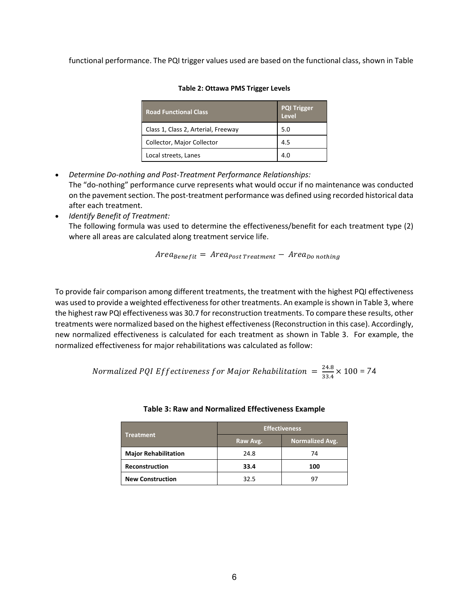functional performance. The PQI trigger values used are based on the functional class, shown in Table

| <b>Road Functional Class</b>        | <b>PQI Trigger</b><br>Level |
|-------------------------------------|-----------------------------|
| Class 1, Class 2, Arterial, Freeway | 5.0                         |
| Collector, Major Collector          | 4.5                         |
| Local streets, Lanes                | 4 O                         |

### **Table 2: Ottawa PMS Trigger Levels**

- *Determine Do-nothing and Post-Treatment Performance Relationships:* The "do-nothing" performance curve represents what would occur if no maintenance was conducted on the pavement section. The post-treatment performance was defined using recorded historical data after each treatment.
- *Identify Benefit of Treatment:* The following formula was used to determine the effectiveness/benefit for each treatment type (2) where all areas are calculated along treatment service life.

 $Area_{Benefit} = Area_{Post\, Treatment} - Area_{Do\,nothing}$ 

To provide fair comparison among different treatments, the treatment with the highest PQI effectiveness was used to provide a weighted effectiveness for other treatments. An example is shown in Table 3, where the highest raw PQI effectiveness was 30.7 for reconstruction treatments. To compare these results, other treatments were normalized based on the highest effectiveness (Reconstruction in this case). Accordingly, new normalized effectiveness is calculated for each treatment as shown in Table 3. For example, the normalized effectiveness for major rehabilitations was calculated as follow:

Normalized PQI Effectiveness for Major Rehabilitation  $= \frac{24.8}{33.4} \times 100 = 74$ 

|                             | <b>Effectiveness</b> |                        |  |  |  |
|-----------------------------|----------------------|------------------------|--|--|--|
| <b>Treatment</b>            | Raw Avg.             | <b>Normalized Avg.</b> |  |  |  |
| <b>Major Rehabilitation</b> | 24.8                 | 74                     |  |  |  |
| Reconstruction              | 33.4                 | 100                    |  |  |  |
| <b>New Construction</b>     | 32.5                 |                        |  |  |  |

| Table 3: Raw and Normalized Effectiveness Example |
|---------------------------------------------------|
|                                                   |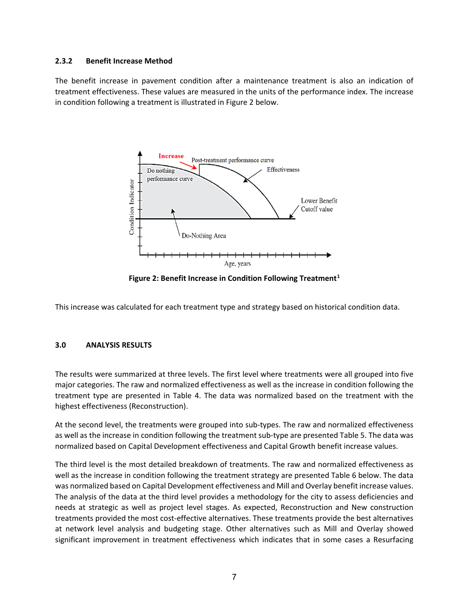### **2.3.2 Benefit Increase Method**

The benefit increase in pavement condition after a maintenance treatment is also an indication of treatment effectiveness. These values are measured in the units of the performance index. The increase in condition following a treatment is illustrated in Figure 2 below.



**Figure 2: Benefit Increase in Condition Following Treatment[1](#page-14-0)**

This increase was calculated for each treatment type and strategy based on historical condition data.

### **3.0 ANALYSIS RESULTS**

The results were summarized at three levels. The first level where treatments were all grouped into five major categories. The raw and normalized effectiveness as well as the increase in condition following the treatment type are presented in Table 4. The data was normalized based on the treatment with the highest effectiveness (Reconstruction).

At the second level, the treatments were grouped into sub-types. The raw and normalized effectiveness as well as the increase in condition following the treatment sub-type are presented Table 5. The data was normalized based on Capital Development effectiveness and Capital Growth benefit increase values.

The third level is the most detailed breakdown of treatments. The raw and normalized effectiveness as well as the increase in condition following the treatment strategy are presented Table 6 below. The data was normalized based on Capital Development effectiveness and Mill and Overlay benefit increase values. The analysis of the data at the third level provides a methodology for the city to assess deficiencies and needs at strategic as well as project level stages. As expected, Reconstruction and New construction treatments provided the most cost-effective alternatives. These treatments provide the best alternatives at network level analysis and budgeting stage. Other alternatives such as Mill and Overlay showed significant improvement in treatment effectiveness which indicates that in some cases a Resurfacing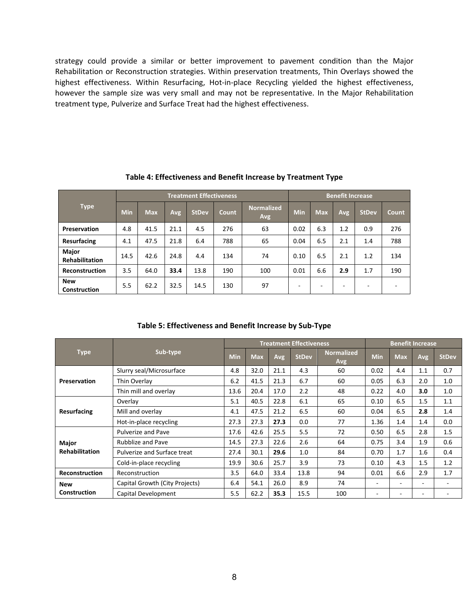strategy could provide a similar or better improvement to pavement condition than the Major Rehabilitation or Reconstruction strategies. Within preservation treatments, Thin Overlays showed the highest effectiveness. Within Resurfacing, Hot-in-place Recycling yielded the highest effectiveness, however the sample size was very small and may not be representative. In the Major Rehabilitation treatment type, Pulverize and Surface Treat had the highest effectiveness.

|                                       |            |            |      | <b>Treatment Effectiveness</b> | <b>Benefit Increase</b> |                          |                          |            |     |              |              |
|---------------------------------------|------------|------------|------|--------------------------------|-------------------------|--------------------------|--------------------------|------------|-----|--------------|--------------|
| <b>Type</b>                           | <b>Min</b> | <b>Max</b> | Avg  | <b>StDev</b>                   | <b>Count</b>            | <b>Normalized</b><br>Avg | <b>Min</b>               | <b>Max</b> | Avg | <b>StDev</b> | <b>Count</b> |
| Preservation                          | 4.8        | 41.5       | 21.1 | 4.5                            | 276                     | 63                       | 0.02                     | 6.3        | 1.2 | 0.9          | 276          |
| <b>Resurfacing</b>                    | 4.1        | 47.5       | 21.8 | 6.4                            | 788                     | 65                       | 0.04                     | 6.5        | 2.1 | 1.4          | 788          |
| <b>Major</b><br><b>Rehabilitation</b> | 14.5       | 42.6       | 24.8 | 4.4                            | 134                     | 74                       | 0.10                     | 6.5        | 2.1 | 1.2          | 134          |
| Reconstruction                        | 3.5        | 64.0       | 33.4 | 13.8                           | 190                     | 100                      | 0.01                     | 6.6        | 2.9 | 1.7          | 190          |
| <b>New</b><br>Construction            | 5.5        | 62.2       | 32.5 | 14.5                           | 130                     | 97                       | $\overline{\phantom{a}}$ | -          | -   |              |              |

**Table 4: Effectiveness and Benefit Increase by Treatment Type**

**Table 5: Effectiveness and Benefit Increase by Sub-Type**

|                       |                                | <b>Treatment Effectiveness</b> |            |      |              |                          |            | <b>Benefit Increase</b> |     |                          |  |
|-----------------------|--------------------------------|--------------------------------|------------|------|--------------|--------------------------|------------|-------------------------|-----|--------------------------|--|
| <b>Type</b>           | Sub-type                       |                                | <b>Max</b> | Avg  | <b>StDev</b> | <b>Normalized</b><br>Avg | <b>Min</b> | <b>Max</b>              | Avg | <b>StDev</b>             |  |
|                       | Slurry seal/Microsurface       | 4.8                            | 32.0       | 21.1 | 4.3          | 60                       | 0.02       | 4.4                     | 1.1 | 0.7                      |  |
| Preservation          | Thin Overlay                   | 6.2                            | 41.5       | 21.3 | 6.7          | 60                       | 0.05       | 6.3                     | 2.0 | 1.0                      |  |
|                       | Thin mill and overlay          | 13.6                           | 20.4       | 17.0 | 2.2          | 48                       | 0.22       | 4.0                     | 3.0 | 1.0                      |  |
| <b>Resurfacing</b>    | Overlay                        | 5.1                            | 40.5       | 22.8 | 6.1          | 65                       | 0.10       | 6.5                     | 1.5 | 1.1                      |  |
|                       | Mill and overlay               | 4.1                            | 47.5       | 21.2 | 6.5          | 60                       | 0.04       | 6.5                     | 2.8 | 1.4                      |  |
|                       | Hot-in-place recycling         | 27.3                           | 27.3       | 27.3 | 0.0          | 77                       | 1.36       | 1.4                     | 1.4 | 0.0                      |  |
|                       | Pulverize and Pave             | 17.6                           | 42.6       | 25.5 | 5.5          | 72                       | 0.50       | 6.5                     | 2.8 | 1.5                      |  |
| Major                 | <b>Rubblize and Pave</b>       | 14.5                           | 27.3       | 22.6 | 2.6          | 64                       | 0.75       | 3.4                     | 1.9 | 0.6                      |  |
| <b>Rehabilitation</b> | Pulverize and Surface treat    | 27.4                           | 30.1       | 29.6 | 1.0          | 84                       | 0.70       | 1.7                     | 1.6 | 0.4                      |  |
|                       | Cold-in-place recycling        | 19.9                           | 30.6       | 25.7 | 3.9          | 73                       | 0.10       | 4.3                     | 1.5 | 1.2                      |  |
| <b>Reconstruction</b> | Reconstruction                 | 3.5                            | 64.0       | 33.4 | 13.8         | 94                       | 0.01       | 6.6                     | 2.9 | 1.7                      |  |
| <b>New</b>            | Capital Growth (City Projects) | 6.4                            | 54.1       | 26.0 | 8.9          | 74                       | ٠          |                         | ۰   | $\overline{\phantom{a}}$ |  |
| Construction          | Capital Development            | 5.5                            | 62.2       | 35.3 | 15.5         | 100                      | ٠          |                         | ٠   |                          |  |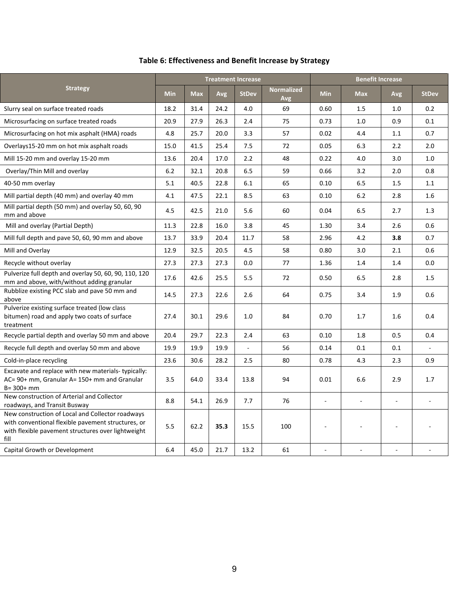|                                                                                                                                                                      |            |            |      | <b>Treatment Increase</b> | <b>Benefit Increase</b>  |                          |            |     |              |
|----------------------------------------------------------------------------------------------------------------------------------------------------------------------|------------|------------|------|---------------------------|--------------------------|--------------------------|------------|-----|--------------|
| <b>Strategy</b>                                                                                                                                                      | <b>Min</b> | <b>Max</b> | Avg  | <b>StDev</b>              | <b>Normalized</b><br>Avg | <b>Min</b>               | <b>Max</b> | Avg | <b>StDev</b> |
| Slurry seal on surface treated roads                                                                                                                                 | 18.2       | 31.4       | 24.2 | 4.0                       | 69                       | 0.60                     | 1.5        | 1.0 | 0.2          |
| Microsurfacing on surface treated roads                                                                                                                              | 20.9       | 27.9       | 26.3 | 2.4                       | 75                       | 0.73                     | 1.0        | 0.9 | 0.1          |
| Microsurfacing on hot mix asphalt (HMA) roads                                                                                                                        | 4.8        | 25.7       | 20.0 | 3.3                       | 57                       | 0.02                     | 4.4        | 1.1 | 0.7          |
| Overlays15-20 mm on hot mix asphalt roads                                                                                                                            | 15.0       | 41.5       | 25.4 | 7.5                       | 72                       | 0.05                     | 6.3        | 2.2 | 2.0          |
| Mill 15-20 mm and overlay 15-20 mm                                                                                                                                   | 13.6       | 20.4       | 17.0 | 2.2                       | 48                       | 0.22                     | 4.0        | 3.0 | 1.0          |
| Overlay/Thin Mill and overlay                                                                                                                                        | 6.2        | 32.1       | 20.8 | 6.5                       | 59                       | 0.66                     | 3.2        | 2.0 | 0.8          |
| 40-50 mm overlay                                                                                                                                                     | 5.1        | 40.5       | 22.8 | 6.1                       | 65                       | 0.10                     | 6.5        | 1.5 | 1.1          |
| Mill partial depth (40 mm) and overlay 40 mm                                                                                                                         | 4.1        | 47.5       | 22.1 | 8.5                       | 63                       | 0.10                     | 6.2        | 2.8 | 1.6          |
| Mill partial depth (50 mm) and overlay 50, 60, 90<br>mm and above                                                                                                    | 4.5        | 42.5       | 21.0 | 5.6                       | 60                       | 0.04                     | 6.5        | 2.7 | 1.3          |
| Mill and overlay (Partial Depth)                                                                                                                                     | 11.3       | 22.8       | 16.0 | 3.8                       | 45                       | 1.30                     | 3.4        | 2.6 | 0.6          |
| Mill full depth and pave 50, 60, 90 mm and above                                                                                                                     | 13.7       | 33.9       | 20.4 | 11.7                      | 58                       | 2.96                     | 4.2        | 3.8 | 0.7          |
| Mill and Overlay                                                                                                                                                     | 12.9       | 32.5       | 20.5 | 4.5                       | 58                       | 0.80                     | 3.0        | 2.1 | 0.6          |
| Recycle without overlay                                                                                                                                              | 27.3       | 27.3       | 27.3 | 0.0                       | 77                       | 1.36                     | 1.4        | 1.4 | 0.0          |
| Pulverize full depth and overlay 50, 60, 90, 110, 120<br>mm and above, with/without adding granular                                                                  | 17.6       | 42.6       | 25.5 | 5.5                       | 72                       | 0.50                     | 6.5        | 2.8 | 1.5          |
| Rubblize existing PCC slab and pave 50 mm and<br>above                                                                                                               | 14.5       | 27.3       | 22.6 | 2.6                       | 64                       | 0.75                     | 3.4        | 1.9 | 0.6          |
| Pulverize existing surface treated (low class<br>bitumen) road and apply two coats of surface<br>treatment                                                           | 27.4       | 30.1       | 29.6 | 1.0                       | 84                       | 0.70                     | 1.7        | 1.6 | 0.4          |
| Recycle partial depth and overlay 50 mm and above                                                                                                                    | 20.4       | 29.7       | 22.3 | 2.4                       | 63                       | 0.10                     | 1.8        | 0.5 | 0.4          |
| Recycle full depth and overlay 50 mm and above                                                                                                                       | 19.9       | 19.9       | 19.9 | $\overline{\phantom{a}}$  | 56                       | 0.14                     | 0.1        | 0.1 |              |
| Cold-in-place recycling                                                                                                                                              | 23.6       | 30.6       | 28.2 | 2.5                       | 80                       | 0.78                     | 4.3        | 2.3 | 0.9          |
| Excavate and replace with new materials-typically:<br>AC= 90+ mm, Granular A= 150+ mm and Granular<br>$B = 300 + mm$                                                 | 3.5        | 64.0       | 33.4 | 13.8                      | 94                       | 0.01                     | 6.6        | 2.9 | 1.7          |
| New construction of Arterial and Collector<br>roadways, and Transit Busway                                                                                           | 8.8        | 54.1       | 26.9 | 7.7                       | 76                       | $\overline{\phantom{a}}$ |            |     |              |
| New construction of Local and Collector roadways<br>with conventional flexible pavement structures, or<br>with flexible pavement structures over lightweight<br>fill | 5.5        | 62.2       | 35.3 | 15.5                      | 100                      |                          |            |     |              |
| Capital Growth or Development                                                                                                                                        | 6.4        | 45.0       | 21.7 | 13.2                      | 61                       |                          |            |     |              |

# **Table 6: Effectiveness and Benefit Increase by Strategy**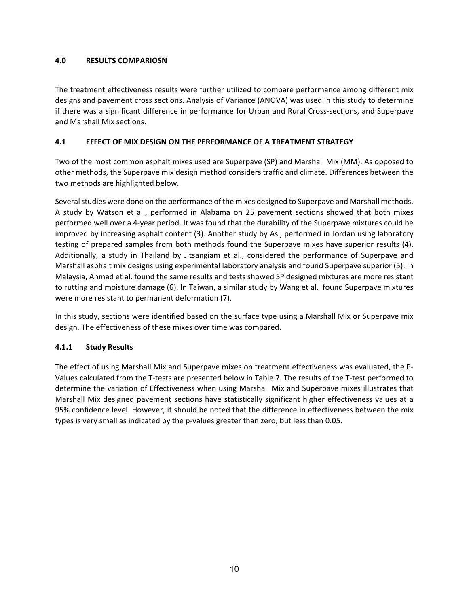### **4.0 RESULTS COMPARIOSN**

The treatment effectiveness results were further utilized to compare performance among different mix designs and pavement cross sections. Analysis of Variance (ANOVA) was used in this study to determine if there was a significant difference in performance for Urban and Rural Cross-sections, and Superpave and Marshall Mix sections.

### **4.1 EFFECT OF MIX DESIGN ON THE PERFORMANCE OF A TREATMENT STRATEGY**

Two of the most common asphalt mixes used are Superpave (SP) and Marshall Mix (MM). As opposed to other methods, the Superpave mix design method considers traffic and climate. Differences between the two methods are highlighted below.

Several studies were done on the performance of the mixes designed to Superpave and Marshall methods. A study by Watson et al., performed in Alabama on 25 pavement sections showed that both mixes performed well over a 4-year period. It was found that the durability of the Superpave mixtures could be improved by increasing asphalt content (3). Another study by Asi, performed in Jordan using laboratory testing of prepared samples from both methods found the Superpave mixes have superior results (4). Additionally, a study in Thailand by Jitsangiam et al., considered the performance of Superpave and Marshall asphalt mix designs using experimental laboratory analysis and found Superpave superior (5). In Malaysia, Ahmad et al. found the same results and tests showed SP designed mixtures are more resistant to rutting and moisture damage (6). In Taiwan, a similar study by Wang et al. found Superpave mixtures were more resistant to permanent deformation (7).

In this study, sections were identified based on the surface type using a Marshall Mix or Superpave mix design. The effectiveness of these mixes over time was compared.

# **4.1.1 Study Results**

The effect of using Marshall Mix and Superpave mixes on treatment effectiveness was evaluated, the P-Values calculated from the T-tests are presented below in Table 7. The results of the T-test performed to determine the variation of Effectiveness when using Marshall Mix and Superpave mixes illustrates that Marshall Mix designed pavement sections have statistically significant higher effectiveness values at a 95% confidence level. However, it should be noted that the difference in effectiveness between the mix types is very small as indicated by the p-values greater than zero, but less than 0.05.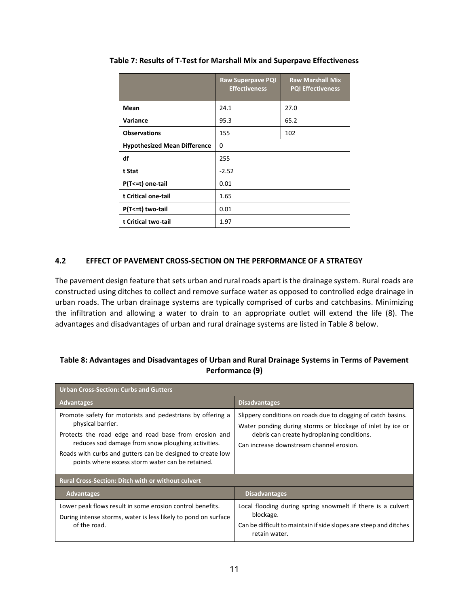|                                     | <b>Raw Superpave PQI</b><br><b>Effectiveness</b> | <b>Raw Marshall Mix</b><br><b>PQI Effectiveness</b> |  |  |  |
|-------------------------------------|--------------------------------------------------|-----------------------------------------------------|--|--|--|
| Mean                                | 24.1                                             | 27.0                                                |  |  |  |
| Variance                            | 95.3                                             | 65.2                                                |  |  |  |
| <b>Observations</b>                 | 155                                              | 102                                                 |  |  |  |
| <b>Hypothesized Mean Difference</b> | $\Omega$                                         |                                                     |  |  |  |
| df                                  | 255                                              |                                                     |  |  |  |
| t Stat                              | $-2.52$                                          |                                                     |  |  |  |
| P(T <= t) one-tail                  | 0.01                                             |                                                     |  |  |  |
| t Critical one-tail                 | 1.65                                             |                                                     |  |  |  |
| P(T <= t) two-tail                  | 0.01                                             |                                                     |  |  |  |
| t Critical two-tail                 | 1.97                                             |                                                     |  |  |  |

**Table 7: Results of T-Test for Marshall Mix and Superpave Effectiveness**

### **4.2 EFFECT OF PAVEMENT CROSS-SECTION ON THE PERFORMANCE OF A STRATEGY**

The pavement design feature that sets urban and rural roads apart is the drainage system. Rural roads are constructed using ditches to collect and remove surface water as opposed to controlled edge drainage in urban roads. The urban drainage systems are typically comprised of curbs and catchbasins. Minimizing the infiltration and allowing a water to drain to an appropriate outlet will extend the life (8). The advantages and disadvantages of urban and rural drainage systems are listed in Table 8 below.

# **Table 8: Advantages and Disadvantages of Urban and Rural Drainage Systems in Terms of Pavement Performance (9)**

| <b>Urban Cross-Section: Curbs and Gutters</b>                                                                                                                                                                                                                                                                    |                                                                                                                                                                                                                       |  |  |  |  |  |
|------------------------------------------------------------------------------------------------------------------------------------------------------------------------------------------------------------------------------------------------------------------------------------------------------------------|-----------------------------------------------------------------------------------------------------------------------------------------------------------------------------------------------------------------------|--|--|--|--|--|
| <b>Advantages</b>                                                                                                                                                                                                                                                                                                | <b>Disadvantages</b>                                                                                                                                                                                                  |  |  |  |  |  |
| Promote safety for motorists and pedestrians by offering a<br>physical barrier.<br>Protects the road edge and road base from erosion and<br>reduces sod damage from snow ploughing activities.<br>Roads with curbs and gutters can be designed to create low<br>points where excess storm water can be retained. | Slippery conditions on roads due to clogging of catch basins.<br>Water ponding during storms or blockage of inlet by ice or<br>debris can create hydroplaning conditions.<br>Can increase downstream channel erosion. |  |  |  |  |  |
| <b>Rural Cross-Section: Ditch with or without culvert</b>                                                                                                                                                                                                                                                        |                                                                                                                                                                                                                       |  |  |  |  |  |
| <b>Advantages</b>                                                                                                                                                                                                                                                                                                | <b>Disadvantages</b>                                                                                                                                                                                                  |  |  |  |  |  |
| Lower peak flows result in some erosion control benefits.<br>During intense storms, water is less likely to pond on surface<br>of the road.                                                                                                                                                                      | Local flooding during spring snowmelt if there is a culvert<br>blockage.<br>Can be difficult to maintain if side slopes are steep and ditches<br>retain water.                                                        |  |  |  |  |  |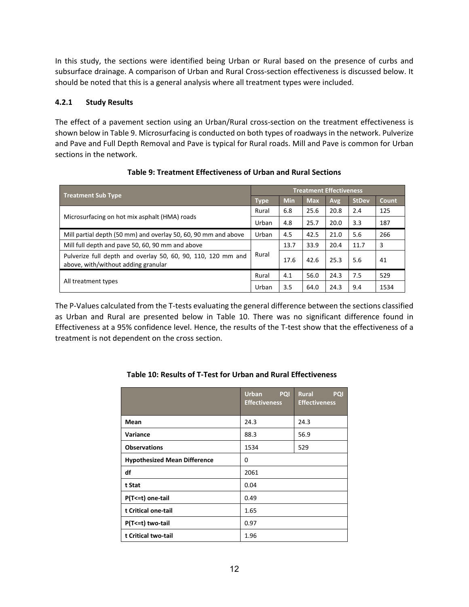In this study, the sections were identified being Urban or Rural based on the presence of curbs and subsurface drainage. A comparison of Urban and Rural Cross-section effectiveness is discussed below. It should be noted that this is a general analysis where all treatment types were included.

### **4.2.1 Study Results**

The effect of a pavement section using an Urban/Rural cross-section on the treatment effectiveness is shown below in Table 9. Microsurfacing is conducted on both types of roadways in the network. Pulverize and Pave and Full Depth Removal and Pave is typical for Rural roads. Mill and Pave is common for Urban sections in the network.

| <b>Treatment Sub Type</b>                                                                           |       | <b>Treatment Effectiveness</b> |            |      |              |       |  |  |  |
|-----------------------------------------------------------------------------------------------------|-------|--------------------------------|------------|------|--------------|-------|--|--|--|
|                                                                                                     |       | <b>Min</b>                     | <b>Max</b> | Avg  | <b>StDev</b> | Count |  |  |  |
| Microsurfacing on hot mix asphalt (HMA) roads                                                       |       | 6.8                            | 25.6       | 20.8 | 2.4          | 125   |  |  |  |
|                                                                                                     |       | 4.8                            | 25.7       | 20.0 | 3.3          | 187   |  |  |  |
| Mill partial depth (50 mm) and overlay 50, 60, 90 mm and above                                      | Urban | 4.5                            | 42.5       | 21.0 | 5.6          | 266   |  |  |  |
| Mill full depth and pave 50, 60, 90 mm and above                                                    |       | 13.7                           | 33.9       | 20.4 | 11.7         | 3     |  |  |  |
| Pulverize full depth and overlay 50, 60, 90, 110, 120 mm and<br>above, with/without adding granular |       | 17.6                           | 42.6       | 25.3 | 5.6          | 41    |  |  |  |
|                                                                                                     |       | 4.1                            | 56.0       | 24.3 | 7.5          | 529   |  |  |  |
| All treatment types                                                                                 | Urban | 3.5                            | 64.0       | 24.3 | 9.4          | 1534  |  |  |  |

# **Table 9: Treatment Effectiveness of Urban and Rural Sections**

The P-Values calculated from the T-tests evaluating the general difference between the sections classified as Urban and Rural are presented below in Table 10. There was no significant difference found in Effectiveness at a 95% confidence level. Hence, the results of the T-test show that the effectiveness of a treatment is not dependent on the cross section.

|                                     | <b>Urban</b><br><b>PQI</b><br><b>Effectiveness</b> | Rural<br><b>PQI</b><br><b>Effectiveness</b> |
|-------------------------------------|----------------------------------------------------|---------------------------------------------|
| Mean                                | 24.3                                               | 24.3                                        |
| Variance                            | 88.3                                               | 56.9                                        |
| <b>Observations</b>                 | 1534                                               | 529                                         |
| <b>Hypothesized Mean Difference</b> | $\Omega$                                           |                                             |
| df                                  | 2061                                               |                                             |
| t Stat                              | 0.04                                               |                                             |
| P(T <= t) one-tail                  | 0.49                                               |                                             |
| t Critical one-tail                 | 1.65                                               |                                             |
| P(T<=t) two-tail                    | 0.97                                               |                                             |
| t Critical two-tail                 | 1.96                                               |                                             |

# **Table 10: Results of T-Test for Urban and Rural Effectiveness**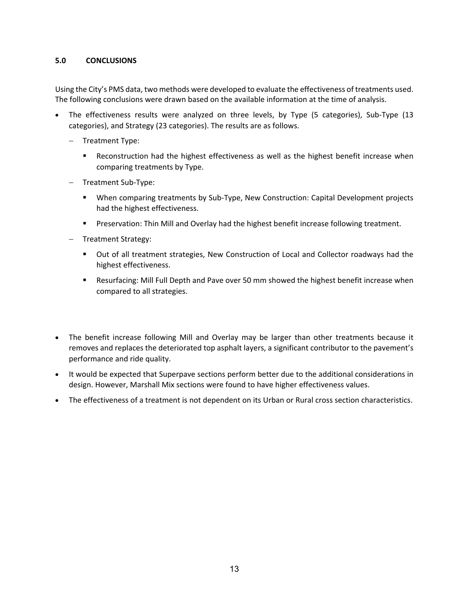### **5.0 CONCLUSIONS**

Using the City's PMS data, two methods were developed to evaluate the effectiveness of treatments used. The following conclusions were drawn based on the available information at the time of analysis.

- The effectiveness results were analyzed on three levels, by Type (5 categories), Sub-Type (13 categories), and Strategy (23 categories). The results are as follows.
	- − Treatment Type:
		- Reconstruction had the highest effectiveness as well as the highest benefit increase when comparing treatments by Type.
	- − Treatment Sub-Type:
		- When comparing treatments by Sub-Type, New Construction: Capital Development projects had the highest effectiveness.
		- **Preservation: Thin Mill and Overlay had the highest benefit increase following treatment.**
	- − Treatment Strategy:
		- Out of all treatment strategies, New Construction of Local and Collector roadways had the highest effectiveness.
		- Resurfacing: Mill Full Depth and Pave over 50 mm showed the highest benefit increase when compared to all strategies.
- The benefit increase following Mill and Overlay may be larger than other treatments because it removes and replaces the deteriorated top asphalt layers, a significant contributor to the pavement's performance and ride quality.
- It would be expected that Superpave sections perform better due to the additional considerations in design. However, Marshall Mix sections were found to have higher effectiveness values.
- The effectiveness of a treatment is not dependent on its Urban or Rural cross section characteristics.